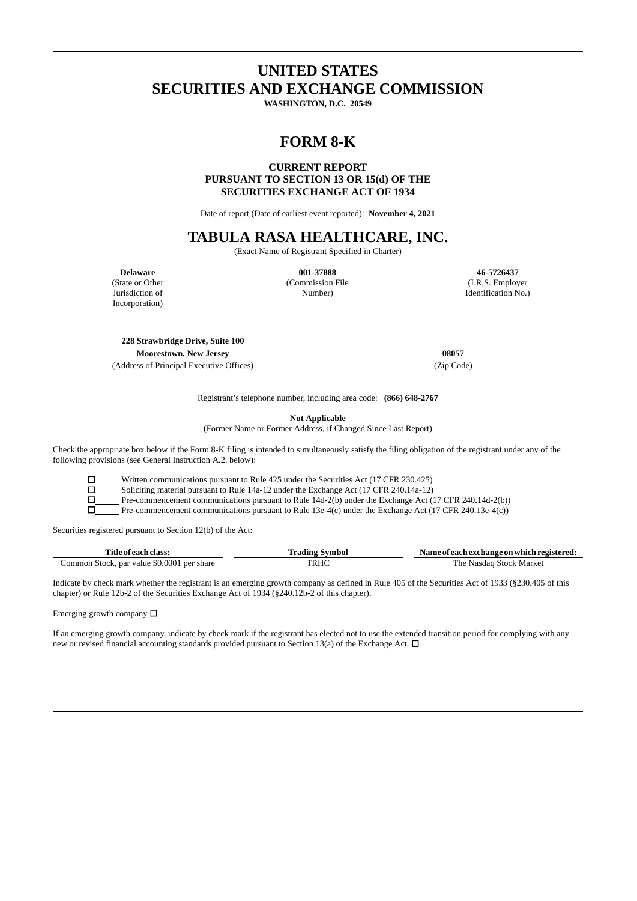# **UNITED STATES SECURITIES AND EXCHANGE COMMISSION**

**WASHINGTON, D.C. 20549**

# **FORM 8-K**

## **CURRENT REPORT PURSUANT TO SECTION 13 OR 15(d) OF THE SECURITIES EXCHANGE ACT OF 1934**

Date of report (Date of earliest event reported): **November 4, 2021**

# **TABULA RASA HEALTHCARE, INC.**

(Exact Name of Registrant Specified in Charter)

**Delaware** (State or Other Jurisdiction of

Incorporation)

**001-37888** (Commission File Number)

**46-5726437** (I.R.S. Employer Identification No.)

**228 Strawbridge Drive, Suite 100 Moorestown, New Jersey 08057**

(Address of Principal Executive Offices) (Zip Code)

Registrant's telephone number, including area code: **(866) 648-2767**

**Not Applicable**

(Former Name or Former Address, if Changed Since Last Report)

Check the appropriate box below if the Form 8-K filing is intended to simultaneously satisfy the filing obligation of the registrant under any of the following provisions (see General Instruction A.2. below):

Written communications pursuant to Rule 425 under the Securities Act (17 CFR 230.425)

 $\Box$  Soliciting material pursuant to Rule 14a-12 under the Exchange Act (17 CFR 240.14a-12) Pre-commencement communications pursuant to Rule 14d-2(b) under the Exchange Act (

 $\Box$  Pre-commencement communications pursuant to Rule 14d-2(b) under the Exchange Act (17 CFR 240.14d-2(b))

Pre-commencement communications pursuant to Rule 13e-4(c) under the Exchange Act (17 CFR 240.13e-4(c))

Securities registered pursuant to Section 12(b) of the Act:

| Fitle of each<br>class:                    | ≚vmbol | Name of each exchange on which registered: |
|--------------------------------------------|--------|--------------------------------------------|
| Common Stock, par value \$0.0001 per share | FRHC   | <b>Stock Market</b><br>. he<br>- Nasdad    |

Indicate by check mark whether the registrant is an emerging growth company as defined in Rule 405 of the Securities Act of 1933 (§230.405 of this chapter) or Rule 12b-2 of the Securities Exchange Act of 1934 (§240.12b-2 of this chapter).

Emerging growth company  $\Box$ 

If an emerging growth company, indicate by check mark if the registrant has elected not to use the extended transition period for complying with any new or revised financial accounting standards provided pursuant to Section 13(a) of the Exchange Act.  $\Box$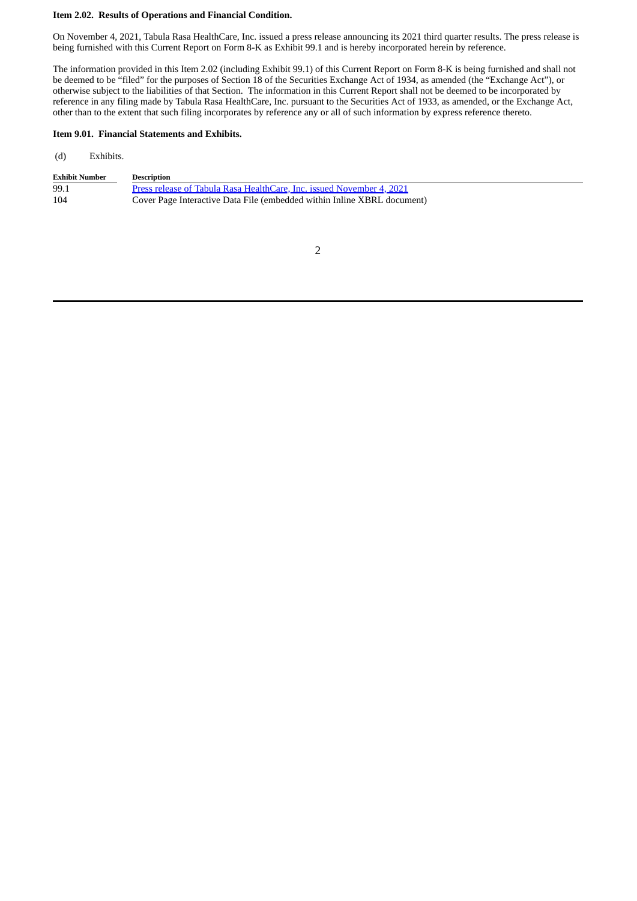#### **Item 2.02. Results of Operations and Financial Condition.**

On November 4, 2021, Tabula Rasa HealthCare, Inc. issued a press release announcing its 2021 third quarter results. The press release is being furnished with this Current Report on Form 8-K as Exhibit 99.1 and is hereby incorporated herein by reference.

The information provided in this Item 2.02 (including Exhibit 99.1) of this Current Report on Form 8-K is being furnished and shall not be deemed to be "filed" for the purposes of Section 18 of the Securities Exchange Act of 1934, as amended (the "Exchange Act"), or otherwise subject to the liabilities of that Section. The information in this Current Report shall not be deemed to be incorporated by reference in any filing made by Tabula Rasa HealthCare, Inc. pursuant to the Securities Act of 1933, as amended, or the Exchange Act, other than to the extent that such filing incorporates by reference any or all of such information by express reference thereto.

## **Item 9.01. Financial Statements and Exhibits.**

(d) Exhibits.

| <b>Exhibit Number</b> | Description                                                             |
|-----------------------|-------------------------------------------------------------------------|
| 99.1                  | Press release of Tabula Rasa HealthCare, Inc. issued November 4, 2021   |
| 104                   | Cover Page Interactive Data File (embedded within Inline XBRL document) |

# 2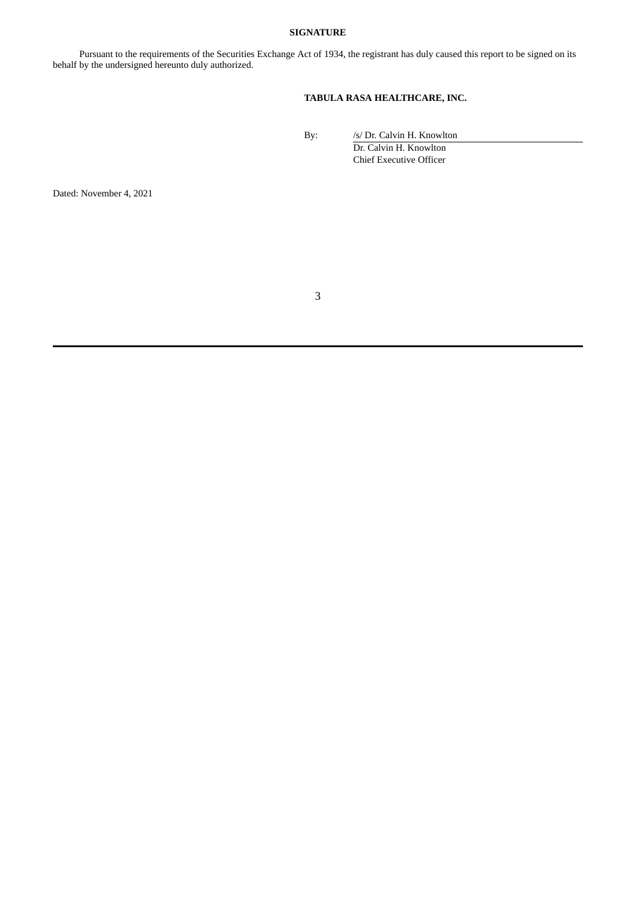# **SIGNATURE**

Pursuant to the requirements of the Securities Exchange Act of 1934, the registrant has duly caused this report to be signed on its behalf by the undersigned hereunto duly authorized.

# **TABULA RASA HEALTHCARE, INC.**

By: /s/ Dr. Calvin H. Knowlton

Dr. Calvin H. Knowlton Chief Executive Officer

Dated: November 4, 2021

3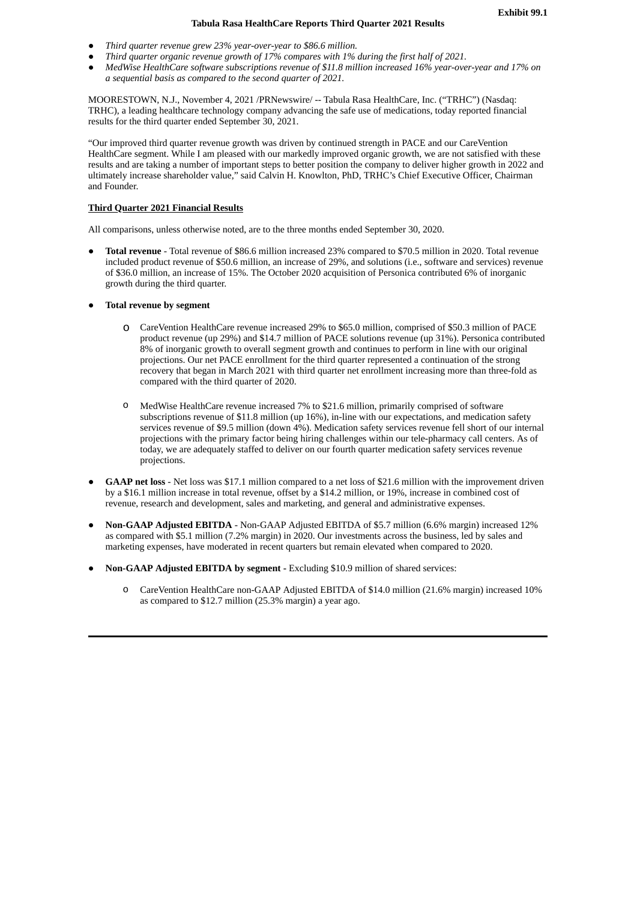#### **Tabula Rasa HealthCare Reports Third Quarter 2021 Results**

- <span id="page-3-0"></span>● *Third quarter revenue grew 23% year-over-year to \$86.6 million.*
- *Third quarter organic revenue growth of 17% compares with 1% during the first half of 2021.*
- *MedWise HealthCare software subscriptions revenue of \$11.8 million increased 16% year-over-year and 17% on a sequential basis as compared to the second quarter of 2021.*

MOORESTOWN, N.J., November 4, 2021 /PRNewswire/ -- Tabula Rasa HealthCare, Inc. ("TRHC") (Nasdaq: TRHC), a leading healthcare technology company advancing the safe use of medications, today reported financial results for the third quarter ended September 30, 2021.

"Our improved third quarter revenue growth was driven by continued strength in PACE and our CareVention HealthCare segment. While I am pleased with our markedly improved organic growth, we are not satisfied with these results and are taking a number of important steps to better position the company to deliver higher growth in 2022 and ultimately increase shareholder value," said Calvin H. Knowlton, PhD, TRHC's Chief Executive Officer, Chairman and Founder.

### **Third Quarter 2021 Financial Results**

All comparisons, unless otherwise noted, are to the three months ended September 30, 2020.

- **Total revenue** Total revenue of \$86.6 million increased 23% compared to \$70.5 million in 2020. Total revenue included product revenue of \$50.6 million, an increase of 29%, and solutions (i.e., software and services) revenue of \$36.0 million, an increase of 15%. The October 2020 acquisition of Personica contributed 6% of inorganic growth during the third quarter.
- **Total revenue by segment**
	- o CareVention HealthCare revenue increased 29% to \$65.0 million, comprised of \$50.3 million of PACE product revenue (up 29%) and \$14.7 million of PACE solutions revenue (up 31%). Personica contributed 8% of inorganic growth to overall segment growth and continues to perform in line with our original projections. Our net PACE enrollment for the third quarter represented a continuation of the strong recovery that began in March 2021 with third quarter net enrollment increasing more than three-fold as compared with the third quarter of 2020.
	- MedWise HealthCare revenue increased 7% to \$21.6 million, primarily comprised of software subscriptions revenue of \$11.8 million (up 16%), in-line with our expectations, and medication safety services revenue of \$9.5 million (down 4%). Medication safety services revenue fell short of our internal projections with the primary factor being hiring challenges within our tele-pharmacy call centers. As of today, we are adequately staffed to deliver on our fourth quarter medication safety services revenue projections.
- **GAAP net loss** Net loss was \$17.1 million compared to a net loss of \$21.6 million with the improvement driven by a \$16.1 million increase in total revenue, offset by a \$14.2 million, or 19%, increase in combined cost of revenue, research and development, sales and marketing, and general and administrative expenses.
- **Non-GAAP Adjusted EBITDA** Non-GAAP Adjusted EBITDA of \$5.7 million (6.6% margin) increased 12% as compared with \$5.1 million (7.2% margin) in 2020. Our investments across the business, led by sales and marketing expenses, have moderated in recent quarters but remain elevated when compared to 2020.
- **Non-GAAP Adjusted EBITDA by segment -** Excluding \$10.9 million of shared services:
	- o CareVention HealthCare non-GAAP Adjusted EBITDA of \$14.0 million (21.6% margin) increased 10% as compared to \$12.7 million (25.3% margin) a year ago.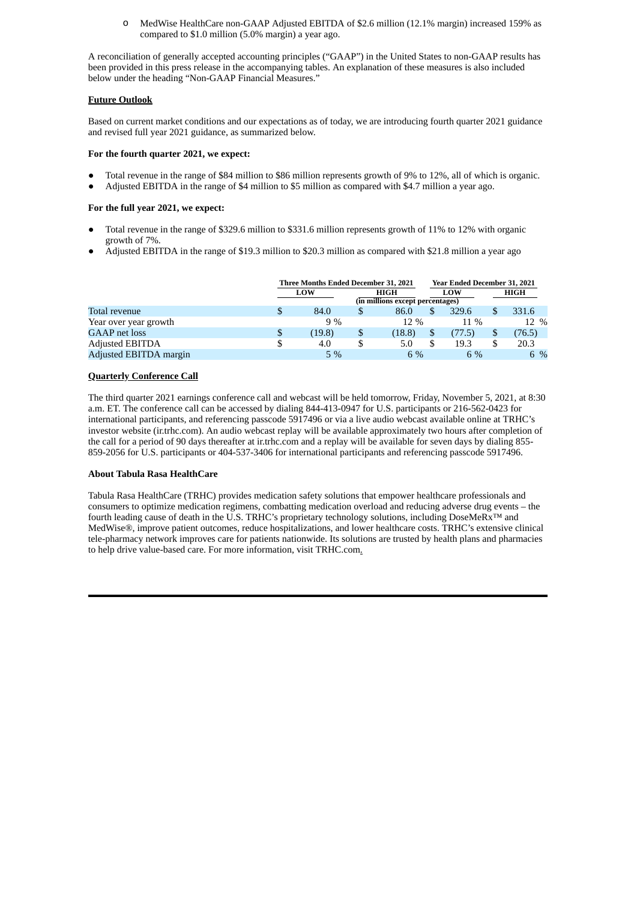o MedWise HealthCare non-GAAP Adjusted EBITDA of \$2.6 million (12.1% margin) increased 159% as compared to \$1.0 million (5.0% margin) a year ago.

A reconciliation of generally accepted accounting principles ("GAAP") in the United States to non-GAAP results has been provided in this press release in the accompanying tables. An explanation of these measures is also included below under the heading "Non-GAAP Financial Measures."

## **Future Outlook**

Based on current market conditions and our expectations as of today, we are introducing fourth quarter 2021 guidance and revised full year 2021 guidance, as summarized below.

## **For the fourth quarter 2021, we expect:**

- Total revenue in the range of \$84 million to \$86 million represents growth of 9% to 12%, all of which is organic.
- Adjusted EBITDA in the range of \$4 million to \$5 million as compared with \$4.7 million a year ago.

## **For the full year 2021, we expect:**

- Total revenue in the range of \$329.6 million to \$331.6 million represents growth of 11% to 12% with organic growth of 7%.
- Adjusted EBITDA in the range of \$19.3 million to \$20.3 million as compared with \$21.8 million a year ago

|                        |                                  | Three Months Ended December 31, 2021 |    |        | Year Ended December 31, 2021 |        |    |             |  |
|------------------------|----------------------------------|--------------------------------------|----|--------|------------------------------|--------|----|-------------|--|
|                        |                                  | LOW                                  |    | HIGH   |                              | LOW    |    | <b>HIGH</b> |  |
|                        | (in millions except percentages) |                                      |    |        |                              |        |    |             |  |
| Total revenue          |                                  | 84.0                                 | \$ | 86.0   |                              | 329.6  |    | 331.6       |  |
| Year over year growth  |                                  | $9\%$                                |    | $12\%$ |                              | $11\%$ |    | 12 %        |  |
| GAAP net loss          |                                  | (19.8)                               | \$ | (18.8) |                              | (77.5) | \$ | (76.5)      |  |
| Adjusted EBITDA        |                                  | 4.0                                  |    | 5.0    |                              | 19.3   |    | 20.3        |  |
| Adjusted EBITDA margin |                                  | $5\%$                                |    | 6 %    |                              | 6 %    |    | $6\%$       |  |

## **Quarterly Conference Call**

The third quarter 2021 earnings conference call and webcast will be held tomorrow, Friday, November 5, 2021, at 8:30 a.m. ET. The conference call can be accessed by dialing 844-413-0947 for U.S. participants or 216-562-0423 for international participants, and referencing passcode 5917496 or via a live audio webcast available online at TRHC's investor website (ir.trhc.com). An audio webcast replay will be available approximately two hours after completion of the call for a period of 90 days thereafter at ir.trhc.com and a replay will be available for seven days by dialing 855- 859-2056 for U.S. participants or 404-537-3406 for international participants and referencing passcode 5917496.

## **About Tabula Rasa HealthCare**

Tabula Rasa HealthCare (TRHC) provides medication safety solutions that empower healthcare professionals and consumers to optimize medication regimens, combatting medication overload and reducing adverse drug events – the fourth leading cause of death in the U.S. TRHC's proprietary technology solutions, including DoseMeRx™ and MedWise®, improve patient outcomes, reduce hospitalizations, and lower healthcare costs. TRHC's extensive clinical tele-pharmacy network improves care for patients nationwide. Its solutions are trusted by health plans and pharmacies to help drive value-based care. For more information, visit TRHC.com.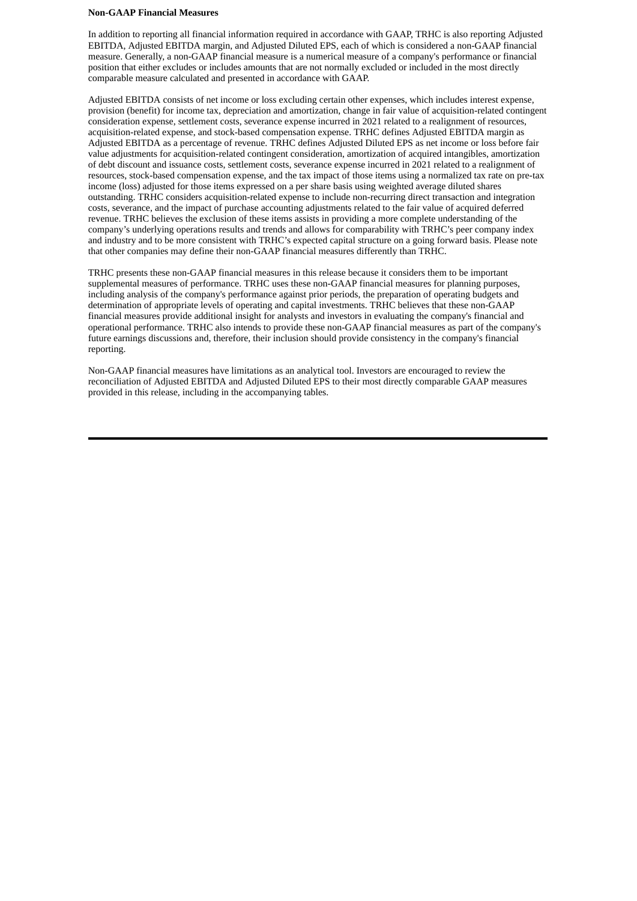#### **Non-GAAP Financial Measures**

In addition to reporting all financial information required in accordance with GAAP, TRHC is also reporting Adjusted EBITDA, Adjusted EBITDA margin, and Adjusted Diluted EPS, each of which is considered a non-GAAP financial measure. Generally, a non-GAAP financial measure is a numerical measure of a company's performance or financial position that either excludes or includes amounts that are not normally excluded or included in the most directly comparable measure calculated and presented in accordance with GAAP.

Adjusted EBITDA consists of net income or loss excluding certain other expenses, which includes interest expense, provision (benefit) for income tax, depreciation and amortization, change in fair value of acquisition-related contingent consideration expense, settlement costs, severance expense incurred in 2021 related to a realignment of resources, acquisition-related expense, and stock-based compensation expense. TRHC defines Adjusted EBITDA margin as Adjusted EBITDA as a percentage of revenue. TRHC defines Adjusted Diluted EPS as net income or loss before fair value adjustments for acquisition-related contingent consideration, amortization of acquired intangibles, amortization of debt discount and issuance costs, settlement costs, severance expense incurred in 2021 related to a realignment of resources, stock-based compensation expense, and the tax impact of those items using a normalized tax rate on pre-tax income (loss) adjusted for those items expressed on a per share basis using weighted average diluted shares outstanding. TRHC considers acquisition-related expense to include non-recurring direct transaction and integration costs, severance, and the impact of purchase accounting adjustments related to the fair value of acquired deferred revenue. TRHC believes the exclusion of these items assists in providing a more complete understanding of the company's underlying operations results and trends and allows for comparability with TRHC's peer company index and industry and to be more consistent with TRHC's expected capital structure on a going forward basis. Please note that other companies may define their non-GAAP financial measures differently than TRHC.

TRHC presents these non-GAAP financial measures in this release because it considers them to be important supplemental measures of performance. TRHC uses these non-GAAP financial measures for planning purposes, including analysis of the company's performance against prior periods, the preparation of operating budgets and determination of appropriate levels of operating and capital investments. TRHC believes that these non-GAAP financial measures provide additional insight for analysts and investors in evaluating the company's financial and operational performance. TRHC also intends to provide these non-GAAP financial measures as part of the company's future earnings discussions and, therefore, their inclusion should provide consistency in the company's financial reporting.

Non-GAAP financial measures have limitations as an analytical tool. Investors are encouraged to review the reconciliation of Adjusted EBITDA and Adjusted Diluted EPS to their most directly comparable GAAP measures provided in this release, including in the accompanying tables.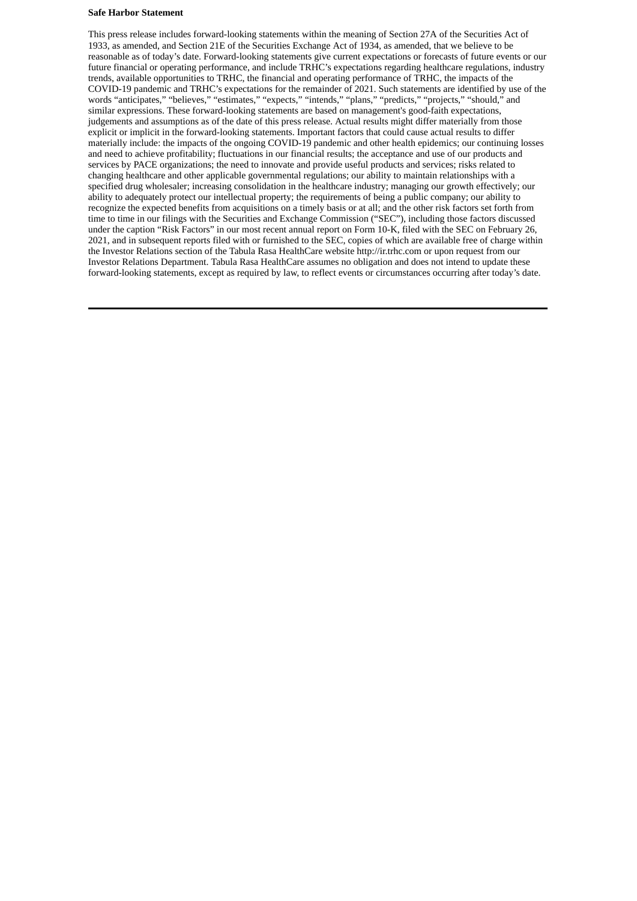#### **Safe Harbor Statement**

This press release includes forward-looking statements within the meaning of Section 27A of the Securities Act of 1933, as amended, and Section 21E of the Securities Exchange Act of 1934, as amended, that we believe to be reasonable as of today's date. Forward-looking statements give current expectations or forecasts of future events or our future financial or operating performance, and include TRHC's expectations regarding healthcare regulations, industry trends, available opportunities to TRHC, the financial and operating performance of TRHC, the impacts of the COVID-19 pandemic and TRHC's expectations for the remainder of 2021. Such statements are identified by use of the words "anticipates," "believes," "estimates," "expects," "intends," "plans," "predicts," "projects," "should," and similar expressions. These forward-looking statements are based on management's good-faith expectations, judgements and assumptions as of the date of this press release. Actual results might differ materially from those explicit or implicit in the forward-looking statements. Important factors that could cause actual results to differ materially include: the impacts of the ongoing COVID-19 pandemic and other health epidemics; our continuing losses and need to achieve profitability; fluctuations in our financial results; the acceptance and use of our products and services by PACE organizations; the need to innovate and provide useful products and services; risks related to changing healthcare and other applicable governmental regulations; our ability to maintain relationships with a specified drug wholesaler; increasing consolidation in the healthcare industry; managing our growth effectively; our ability to adequately protect our intellectual property; the requirements of being a public company; our ability to recognize the expected benefits from acquisitions on a timely basis or at all; and the other risk factors set forth from time to time in our filings with the Securities and Exchange Commission ("SEC"), including those factors discussed under the caption "Risk Factors" in our most recent annual report on Form 10-K, filed with the SEC on February 26, 2021, and in subsequent reports filed with or furnished to the SEC, copies of which are available free of charge within the Investor Relations section of the Tabula Rasa HealthCare website http://ir.trhc.com or upon request from our Investor Relations Department. Tabula Rasa HealthCare assumes no obligation and does not intend to update these forward-looking statements, except as required by law, to reflect events or circumstances occurring after today's date.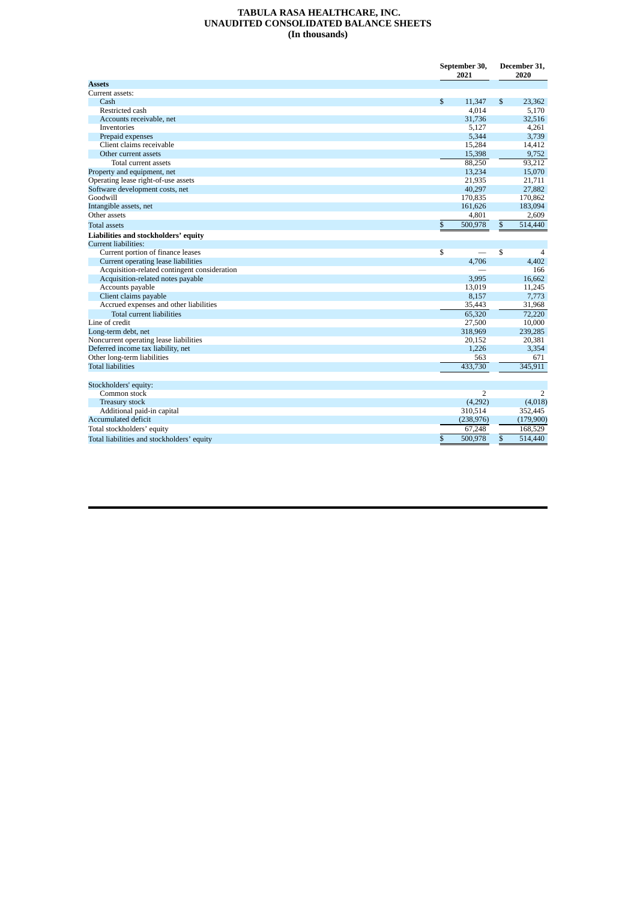#### **TABULA RASA HEALTHCARE, INC. UNAUDITED CONSOLIDATED BALANCE SHEETS (In thousands)**

| <b>Assets</b><br>Current assets:<br>Cash<br>\$<br>\$<br>23,362<br>11,347<br>Restricted cash<br>4,014<br>5,170<br>31,736<br>32,516<br>Accounts receivable, net<br>4,261<br>Inventories<br>5,127<br>5,344<br>3,739<br>Prepaid expenses<br>Client claims receivable<br>15,284<br>14,412<br>9,752<br>Other current assets<br>15,398<br>88,250<br>93.212<br>Total current assets<br>13,234<br>15,070<br>Property and equipment, net<br>Operating lease right-of-use assets<br>21,935<br>21,711<br>Software development costs, net<br>40,297<br>27,882<br>Goodwill<br>170,835<br>170,862<br>Intangible assets, net<br>183,094<br>161,626<br>Other assets<br>2.609<br>4,801<br>\$<br>\$<br>500,978<br>514,440<br><b>Total assets</b><br>Liabilities and stockholders' equity<br>Current liabilities:<br>\$<br>\$<br>Current portion of finance leases<br>$\overline{4}$<br>4,706<br>Current operating lease liabilities<br>4,402<br>Acquisition-related contingent consideration<br>166<br>Acquisition-related notes payable<br>3,995<br>16,662<br>Accounts payable<br>13,019<br>11,245<br>Client claims payable<br>8,157<br>7,773<br>Accrued expenses and other liabilities<br>35,443<br>31,968<br><b>Total current liabilities</b><br>65,320<br>72,220<br>Line of credit<br>27,500<br>10,000<br>239,285<br>Long-term debt, net<br>318,969<br>Noncurrent operating lease liabilities<br>20,152<br>20,381<br>Deferred income tax liability, net<br>3,354<br>1,226<br>Other long-term liabilities<br>563<br>671<br>433,730<br>345,911<br><b>Total liabilities</b><br>Stockholders' equity:<br>Common stock<br>$\overline{2}$<br>2<br>Treasury stock<br>(4,292)<br>(4,018)<br>Additional paid-in capital<br>310,514<br>352,445<br>Accumulated deficit<br>(238, 976)<br>(179,900)<br>67,248<br>Total stockholders' equity<br>168,529<br>\$<br>500,978<br>\$<br>514,440<br>Total liabilities and stockholders' equity |  | September 30,<br>2021 |  | December 31,<br>2020 |
|------------------------------------------------------------------------------------------------------------------------------------------------------------------------------------------------------------------------------------------------------------------------------------------------------------------------------------------------------------------------------------------------------------------------------------------------------------------------------------------------------------------------------------------------------------------------------------------------------------------------------------------------------------------------------------------------------------------------------------------------------------------------------------------------------------------------------------------------------------------------------------------------------------------------------------------------------------------------------------------------------------------------------------------------------------------------------------------------------------------------------------------------------------------------------------------------------------------------------------------------------------------------------------------------------------------------------------------------------------------------------------------------------------------------------------------------------------------------------------------------------------------------------------------------------------------------------------------------------------------------------------------------------------------------------------------------------------------------------------------------------------------------------------------------------------------------------------------------------------------------------------------------------------|--|-----------------------|--|----------------------|
|                                                                                                                                                                                                                                                                                                                                                                                                                                                                                                                                                                                                                                                                                                                                                                                                                                                                                                                                                                                                                                                                                                                                                                                                                                                                                                                                                                                                                                                                                                                                                                                                                                                                                                                                                                                                                                                                                                            |  |                       |  |                      |
|                                                                                                                                                                                                                                                                                                                                                                                                                                                                                                                                                                                                                                                                                                                                                                                                                                                                                                                                                                                                                                                                                                                                                                                                                                                                                                                                                                                                                                                                                                                                                                                                                                                                                                                                                                                                                                                                                                            |  |                       |  |                      |
|                                                                                                                                                                                                                                                                                                                                                                                                                                                                                                                                                                                                                                                                                                                                                                                                                                                                                                                                                                                                                                                                                                                                                                                                                                                                                                                                                                                                                                                                                                                                                                                                                                                                                                                                                                                                                                                                                                            |  |                       |  |                      |
|                                                                                                                                                                                                                                                                                                                                                                                                                                                                                                                                                                                                                                                                                                                                                                                                                                                                                                                                                                                                                                                                                                                                                                                                                                                                                                                                                                                                                                                                                                                                                                                                                                                                                                                                                                                                                                                                                                            |  |                       |  |                      |
|                                                                                                                                                                                                                                                                                                                                                                                                                                                                                                                                                                                                                                                                                                                                                                                                                                                                                                                                                                                                                                                                                                                                                                                                                                                                                                                                                                                                                                                                                                                                                                                                                                                                                                                                                                                                                                                                                                            |  |                       |  |                      |
|                                                                                                                                                                                                                                                                                                                                                                                                                                                                                                                                                                                                                                                                                                                                                                                                                                                                                                                                                                                                                                                                                                                                                                                                                                                                                                                                                                                                                                                                                                                                                                                                                                                                                                                                                                                                                                                                                                            |  |                       |  |                      |
|                                                                                                                                                                                                                                                                                                                                                                                                                                                                                                                                                                                                                                                                                                                                                                                                                                                                                                                                                                                                                                                                                                                                                                                                                                                                                                                                                                                                                                                                                                                                                                                                                                                                                                                                                                                                                                                                                                            |  |                       |  |                      |
|                                                                                                                                                                                                                                                                                                                                                                                                                                                                                                                                                                                                                                                                                                                                                                                                                                                                                                                                                                                                                                                                                                                                                                                                                                                                                                                                                                                                                                                                                                                                                                                                                                                                                                                                                                                                                                                                                                            |  |                       |  |                      |
|                                                                                                                                                                                                                                                                                                                                                                                                                                                                                                                                                                                                                                                                                                                                                                                                                                                                                                                                                                                                                                                                                                                                                                                                                                                                                                                                                                                                                                                                                                                                                                                                                                                                                                                                                                                                                                                                                                            |  |                       |  |                      |
|                                                                                                                                                                                                                                                                                                                                                                                                                                                                                                                                                                                                                                                                                                                                                                                                                                                                                                                                                                                                                                                                                                                                                                                                                                                                                                                                                                                                                                                                                                                                                                                                                                                                                                                                                                                                                                                                                                            |  |                       |  |                      |
|                                                                                                                                                                                                                                                                                                                                                                                                                                                                                                                                                                                                                                                                                                                                                                                                                                                                                                                                                                                                                                                                                                                                                                                                                                                                                                                                                                                                                                                                                                                                                                                                                                                                                                                                                                                                                                                                                                            |  |                       |  |                      |
|                                                                                                                                                                                                                                                                                                                                                                                                                                                                                                                                                                                                                                                                                                                                                                                                                                                                                                                                                                                                                                                                                                                                                                                                                                                                                                                                                                                                                                                                                                                                                                                                                                                                                                                                                                                                                                                                                                            |  |                       |  |                      |
|                                                                                                                                                                                                                                                                                                                                                                                                                                                                                                                                                                                                                                                                                                                                                                                                                                                                                                                                                                                                                                                                                                                                                                                                                                                                                                                                                                                                                                                                                                                                                                                                                                                                                                                                                                                                                                                                                                            |  |                       |  |                      |
|                                                                                                                                                                                                                                                                                                                                                                                                                                                                                                                                                                                                                                                                                                                                                                                                                                                                                                                                                                                                                                                                                                                                                                                                                                                                                                                                                                                                                                                                                                                                                                                                                                                                                                                                                                                                                                                                                                            |  |                       |  |                      |
|                                                                                                                                                                                                                                                                                                                                                                                                                                                                                                                                                                                                                                                                                                                                                                                                                                                                                                                                                                                                                                                                                                                                                                                                                                                                                                                                                                                                                                                                                                                                                                                                                                                                                                                                                                                                                                                                                                            |  |                       |  |                      |
|                                                                                                                                                                                                                                                                                                                                                                                                                                                                                                                                                                                                                                                                                                                                                                                                                                                                                                                                                                                                                                                                                                                                                                                                                                                                                                                                                                                                                                                                                                                                                                                                                                                                                                                                                                                                                                                                                                            |  |                       |  |                      |
|                                                                                                                                                                                                                                                                                                                                                                                                                                                                                                                                                                                                                                                                                                                                                                                                                                                                                                                                                                                                                                                                                                                                                                                                                                                                                                                                                                                                                                                                                                                                                                                                                                                                                                                                                                                                                                                                                                            |  |                       |  |                      |
|                                                                                                                                                                                                                                                                                                                                                                                                                                                                                                                                                                                                                                                                                                                                                                                                                                                                                                                                                                                                                                                                                                                                                                                                                                                                                                                                                                                                                                                                                                                                                                                                                                                                                                                                                                                                                                                                                                            |  |                       |  |                      |
|                                                                                                                                                                                                                                                                                                                                                                                                                                                                                                                                                                                                                                                                                                                                                                                                                                                                                                                                                                                                                                                                                                                                                                                                                                                                                                                                                                                                                                                                                                                                                                                                                                                                                                                                                                                                                                                                                                            |  |                       |  |                      |
|                                                                                                                                                                                                                                                                                                                                                                                                                                                                                                                                                                                                                                                                                                                                                                                                                                                                                                                                                                                                                                                                                                                                                                                                                                                                                                                                                                                                                                                                                                                                                                                                                                                                                                                                                                                                                                                                                                            |  |                       |  |                      |
|                                                                                                                                                                                                                                                                                                                                                                                                                                                                                                                                                                                                                                                                                                                                                                                                                                                                                                                                                                                                                                                                                                                                                                                                                                                                                                                                                                                                                                                                                                                                                                                                                                                                                                                                                                                                                                                                                                            |  |                       |  |                      |
|                                                                                                                                                                                                                                                                                                                                                                                                                                                                                                                                                                                                                                                                                                                                                                                                                                                                                                                                                                                                                                                                                                                                                                                                                                                                                                                                                                                                                                                                                                                                                                                                                                                                                                                                                                                                                                                                                                            |  |                       |  |                      |
|                                                                                                                                                                                                                                                                                                                                                                                                                                                                                                                                                                                                                                                                                                                                                                                                                                                                                                                                                                                                                                                                                                                                                                                                                                                                                                                                                                                                                                                                                                                                                                                                                                                                                                                                                                                                                                                                                                            |  |                       |  |                      |
|                                                                                                                                                                                                                                                                                                                                                                                                                                                                                                                                                                                                                                                                                                                                                                                                                                                                                                                                                                                                                                                                                                                                                                                                                                                                                                                                                                                                                                                                                                                                                                                                                                                                                                                                                                                                                                                                                                            |  |                       |  |                      |
|                                                                                                                                                                                                                                                                                                                                                                                                                                                                                                                                                                                                                                                                                                                                                                                                                                                                                                                                                                                                                                                                                                                                                                                                                                                                                                                                                                                                                                                                                                                                                                                                                                                                                                                                                                                                                                                                                                            |  |                       |  |                      |
|                                                                                                                                                                                                                                                                                                                                                                                                                                                                                                                                                                                                                                                                                                                                                                                                                                                                                                                                                                                                                                                                                                                                                                                                                                                                                                                                                                                                                                                                                                                                                                                                                                                                                                                                                                                                                                                                                                            |  |                       |  |                      |
|                                                                                                                                                                                                                                                                                                                                                                                                                                                                                                                                                                                                                                                                                                                                                                                                                                                                                                                                                                                                                                                                                                                                                                                                                                                                                                                                                                                                                                                                                                                                                                                                                                                                                                                                                                                                                                                                                                            |  |                       |  |                      |
|                                                                                                                                                                                                                                                                                                                                                                                                                                                                                                                                                                                                                                                                                                                                                                                                                                                                                                                                                                                                                                                                                                                                                                                                                                                                                                                                                                                                                                                                                                                                                                                                                                                                                                                                                                                                                                                                                                            |  |                       |  |                      |
|                                                                                                                                                                                                                                                                                                                                                                                                                                                                                                                                                                                                                                                                                                                                                                                                                                                                                                                                                                                                                                                                                                                                                                                                                                                                                                                                                                                                                                                                                                                                                                                                                                                                                                                                                                                                                                                                                                            |  |                       |  |                      |
|                                                                                                                                                                                                                                                                                                                                                                                                                                                                                                                                                                                                                                                                                                                                                                                                                                                                                                                                                                                                                                                                                                                                                                                                                                                                                                                                                                                                                                                                                                                                                                                                                                                                                                                                                                                                                                                                                                            |  |                       |  |                      |
|                                                                                                                                                                                                                                                                                                                                                                                                                                                                                                                                                                                                                                                                                                                                                                                                                                                                                                                                                                                                                                                                                                                                                                                                                                                                                                                                                                                                                                                                                                                                                                                                                                                                                                                                                                                                                                                                                                            |  |                       |  |                      |
|                                                                                                                                                                                                                                                                                                                                                                                                                                                                                                                                                                                                                                                                                                                                                                                                                                                                                                                                                                                                                                                                                                                                                                                                                                                                                                                                                                                                                                                                                                                                                                                                                                                                                                                                                                                                                                                                                                            |  |                       |  |                      |
|                                                                                                                                                                                                                                                                                                                                                                                                                                                                                                                                                                                                                                                                                                                                                                                                                                                                                                                                                                                                                                                                                                                                                                                                                                                                                                                                                                                                                                                                                                                                                                                                                                                                                                                                                                                                                                                                                                            |  |                       |  |                      |
|                                                                                                                                                                                                                                                                                                                                                                                                                                                                                                                                                                                                                                                                                                                                                                                                                                                                                                                                                                                                                                                                                                                                                                                                                                                                                                                                                                                                                                                                                                                                                                                                                                                                                                                                                                                                                                                                                                            |  |                       |  |                      |
|                                                                                                                                                                                                                                                                                                                                                                                                                                                                                                                                                                                                                                                                                                                                                                                                                                                                                                                                                                                                                                                                                                                                                                                                                                                                                                                                                                                                                                                                                                                                                                                                                                                                                                                                                                                                                                                                                                            |  |                       |  |                      |
|                                                                                                                                                                                                                                                                                                                                                                                                                                                                                                                                                                                                                                                                                                                                                                                                                                                                                                                                                                                                                                                                                                                                                                                                                                                                                                                                                                                                                                                                                                                                                                                                                                                                                                                                                                                                                                                                                                            |  |                       |  |                      |
|                                                                                                                                                                                                                                                                                                                                                                                                                                                                                                                                                                                                                                                                                                                                                                                                                                                                                                                                                                                                                                                                                                                                                                                                                                                                                                                                                                                                                                                                                                                                                                                                                                                                                                                                                                                                                                                                                                            |  |                       |  |                      |
|                                                                                                                                                                                                                                                                                                                                                                                                                                                                                                                                                                                                                                                                                                                                                                                                                                                                                                                                                                                                                                                                                                                                                                                                                                                                                                                                                                                                                                                                                                                                                                                                                                                                                                                                                                                                                                                                                                            |  |                       |  |                      |
|                                                                                                                                                                                                                                                                                                                                                                                                                                                                                                                                                                                                                                                                                                                                                                                                                                                                                                                                                                                                                                                                                                                                                                                                                                                                                                                                                                                                                                                                                                                                                                                                                                                                                                                                                                                                                                                                                                            |  |                       |  |                      |
|                                                                                                                                                                                                                                                                                                                                                                                                                                                                                                                                                                                                                                                                                                                                                                                                                                                                                                                                                                                                                                                                                                                                                                                                                                                                                                                                                                                                                                                                                                                                                                                                                                                                                                                                                                                                                                                                                                            |  |                       |  |                      |
|                                                                                                                                                                                                                                                                                                                                                                                                                                                                                                                                                                                                                                                                                                                                                                                                                                                                                                                                                                                                                                                                                                                                                                                                                                                                                                                                                                                                                                                                                                                                                                                                                                                                                                                                                                                                                                                                                                            |  |                       |  |                      |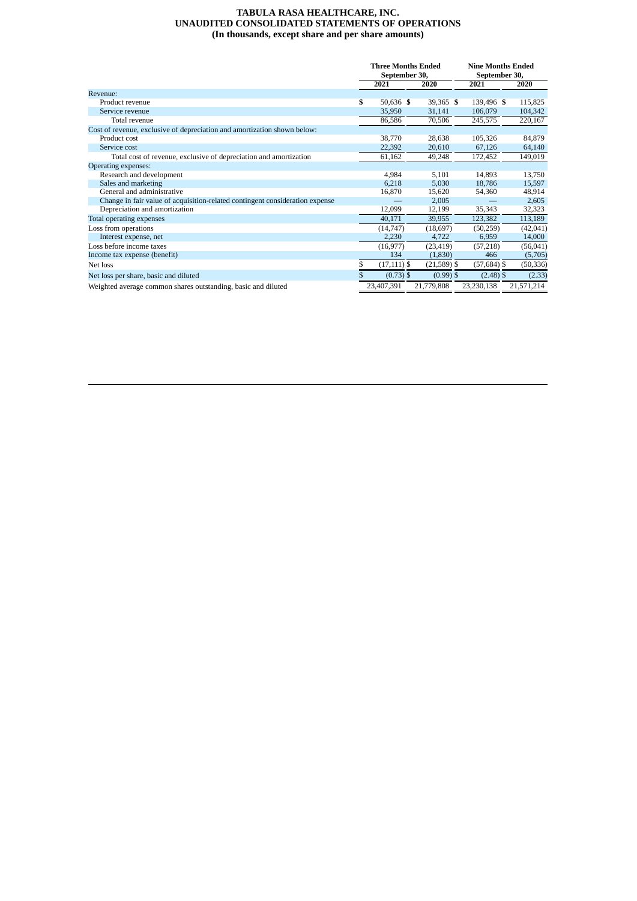#### **TABULA RASA HEALTHCARE, INC. UNAUDITED CONSOLIDATED STATEMENTS OF OPERATIONS (In thousands, except share and per share amounts)**

|                                                                              | <b>Three Months Ended</b><br>September 30, |                |  |               |  | <b>Nine Months Ended</b><br>September 30, |            |
|------------------------------------------------------------------------------|--------------------------------------------|----------------|--|---------------|--|-------------------------------------------|------------|
|                                                                              |                                            | 2021           |  | 2020          |  | 2021                                      | 2020       |
| Revenue:                                                                     |                                            |                |  |               |  |                                           |            |
| Product revenue                                                              | \$                                         | 50,636 \$      |  | 39,365 \$     |  | 139,496 \$                                | 115,825    |
| Service revenue                                                              |                                            | 35,950         |  | 31,141        |  | 106,079                                   | 104,342    |
| Total revenue                                                                |                                            | 86,586         |  | 70,506        |  | 245,575                                   | 220,167    |
| Cost of revenue, exclusive of depreciation and amortization shown below:     |                                            |                |  |               |  |                                           |            |
| Product cost                                                                 |                                            | 38,770         |  | 28,638        |  | 105,326                                   | 84,879     |
| Service cost                                                                 |                                            | 22,392         |  | 20,610        |  | 67,126                                    | 64,140     |
| Total cost of revenue, exclusive of depreciation and amortization            |                                            | 61,162         |  | 49,248        |  | 172,452                                   | 149,019    |
| Operating expenses:                                                          |                                            |                |  |               |  |                                           |            |
| Research and development                                                     |                                            | 4,984          |  | 5,101         |  | 14,893                                    | 13,750     |
| Sales and marketing                                                          |                                            | 6,218          |  | 5,030         |  | 18,786                                    | 15,597     |
| General and administrative                                                   |                                            | 16,870         |  | 15,620        |  | 54,360                                    | 48,914     |
| Change in fair value of acquisition-related contingent consideration expense |                                            |                |  | 2,005         |  |                                           | 2,605      |
| Depreciation and amortization                                                |                                            | 12,099         |  | 12,199        |  | 35,343                                    | 32,323     |
| Total operating expenses                                                     |                                            | 40,171         |  | 39,955        |  | 123,382                                   | 113,189    |
| Loss from operations                                                         |                                            | (14, 747)      |  | (18, 697)     |  | (50, 259)                                 | (42, 041)  |
| Interest expense, net                                                        |                                            | 2,230          |  | 4,722         |  | 6,959                                     | 14,000     |
| Loss before income taxes                                                     |                                            | (16, 977)      |  | (23, 419)     |  | (57,218)                                  | (56, 041)  |
| Income tax expense (benefit)                                                 |                                            | 134            |  | (1,830)       |  | 466                                       | (5,705)    |
| Net loss                                                                     | \$                                         | $(17, 111)$ \$ |  | $(21,589)$ \$ |  | $(57,684)$ \$                             | (50, 336)  |
| Net loss per share, basic and diluted                                        |                                            | $(0.73)$ \$    |  | $(0.99)$ \$   |  | $(2.48)$ \$                               | (2.33)     |
| Weighted average common shares outstanding, basic and diluted                |                                            | 23,407,391     |  | 21,779,808    |  | 23,230,138                                | 21,571,214 |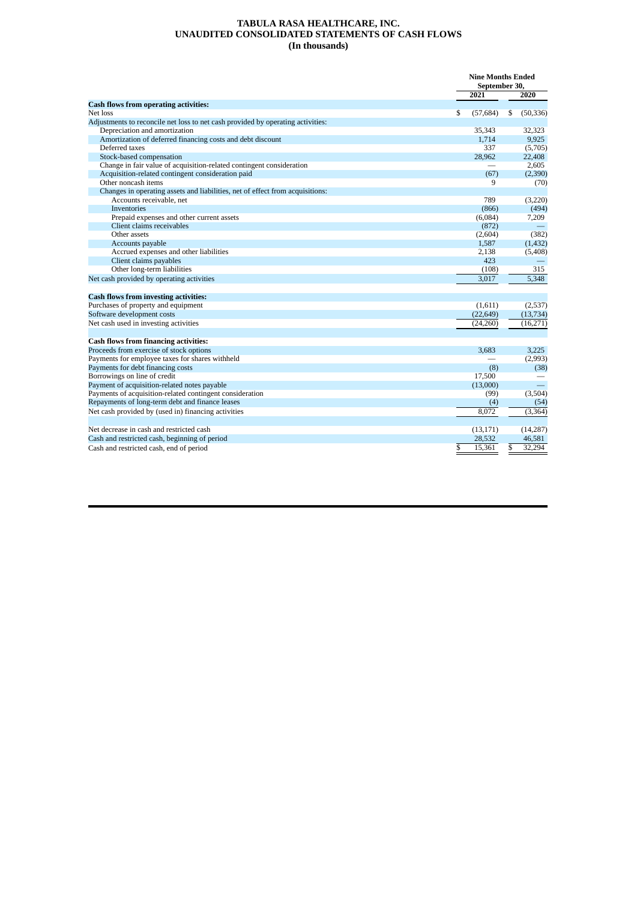#### **TABULA RASA HEALTHCARE, INC. UNAUDITED CONSOLIDATED STATEMENTS OF CASH FLOWS (In thousands)**

|                                                                                 |                 | <b>Nine Months Ended</b><br>September 30, |
|---------------------------------------------------------------------------------|-----------------|-------------------------------------------|
|                                                                                 | 2021            | 2020                                      |
| <b>Cash flows from operating activities:</b>                                    |                 |                                           |
| Net loss                                                                        | \$<br>(57, 684) | \$<br>(50, 336)                           |
| Adjustments to reconcile net loss to net cash provided by operating activities: |                 |                                           |
| Depreciation and amortization                                                   | 35,343          | 32,323                                    |
| Amortization of deferred financing costs and debt discount                      | 1.714           | 9,925                                     |
| Deferred taxes                                                                  | 337             | (5,705)                                   |
| Stock-based compensation                                                        | 28.962          | 22,408                                    |
| Change in fair value of acquisition-related contingent consideration            |                 | 2,605                                     |
| Acquisition-related contingent consideration paid                               | (67)            | (2,390)                                   |
| Other noncash items                                                             | 9               | (70)                                      |
| Changes in operating assets and liabilities, net of effect from acquisitions:   |                 |                                           |
| Accounts receivable, net                                                        | 789             | (3,220)                                   |
| <b>Inventories</b>                                                              | (866)           | (494)                                     |
| Prepaid expenses and other current assets                                       | (6,084)         | 7,209                                     |
| Client claims receivables                                                       | (872)           |                                           |
| Other assets                                                                    | (2,604)         | (382)                                     |
| Accounts payable                                                                | 1,587           | (1,432)                                   |
| Accrued expenses and other liabilities                                          | 2,138           | (5,408)                                   |
| Client claims payables                                                          | 423             |                                           |
| Other long-term liabilities                                                     | (108)           | 315                                       |
| Net cash provided by operating activities                                       | 3.017           | 5,348                                     |
| <b>Cash flows from investing activities:</b>                                    |                 |                                           |
| Purchases of property and equipment                                             | (1,611)         | (2,537)                                   |
| Software development costs                                                      | (22, 649)       | (13,734)                                  |
| Net cash used in investing activities                                           | (24, 260)       | (16,271)                                  |
| <b>Cash flows from financing activities:</b>                                    |                 |                                           |
| Proceeds from exercise of stock options                                         | 3.683           | 3.225                                     |
| Payments for employee taxes for shares withheld                                 |                 | (2,993)                                   |
| Payments for debt financing costs                                               | (8)             | (38)                                      |
| Borrowings on line of credit                                                    | 17,500          |                                           |
| Payment of acquisition-related notes payable                                    | (13,000)        |                                           |
| Payments of acquisition-related contingent consideration                        | (99)            | (3,504)                                   |
| Repayments of long-term debt and finance leases                                 | (4)             | (54)                                      |
| Net cash provided by (used in) financing activities                             | 8,072           | (3,364)                                   |
| Net decrease in cash and restricted cash                                        | (13, 171)       | (14, 287)                                 |
| Cash and restricted cash, beginning of period                                   | 28,532          | 46,581                                    |
|                                                                                 |                 |                                           |
| Cash and restricted cash, end of period                                         | \$<br>15,361    | \$<br>32,294                              |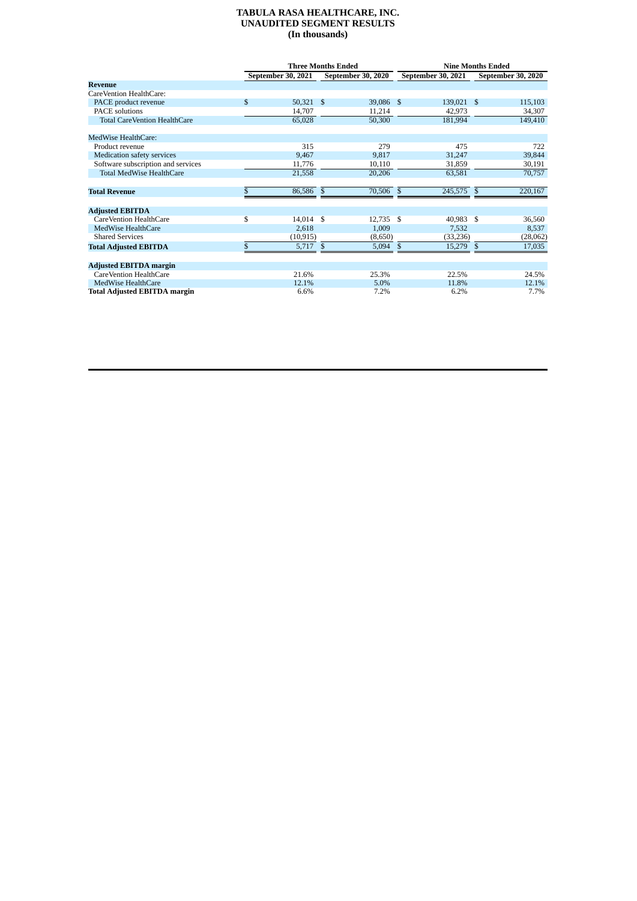#### **TABULA RASA HEALTHCARE, INC. UNAUDITED SEGMENT RESULTS (In thousands)**

|                                     | <b>Three Months Ended</b> |  | <b>Nine Months Ended</b>  |              |                           |              |                           |  |
|-------------------------------------|---------------------------|--|---------------------------|--------------|---------------------------|--------------|---------------------------|--|
|                                     | <b>September 30, 2021</b> |  | <b>September 30, 2020</b> |              | <b>September 30, 2021</b> |              | <b>September 30, 2020</b> |  |
| Revenue                             |                           |  |                           |              |                           |              |                           |  |
| CareVention HealthCare:             |                           |  |                           |              |                           |              |                           |  |
| PACE product revenue                | \$<br>$50,321$ \$         |  | 39,086 \$                 |              | 139,021 \$                |              | 115,103                   |  |
| <b>PACE</b> solutions               | 14,707                    |  | 11,214                    |              | 42,973                    |              | 34,307                    |  |
| <b>Total CareVention HealthCare</b> | 65,028                    |  | 50,300                    |              | 181,994                   |              | 149,410                   |  |
| MedWise HealthCare:                 |                           |  |                           |              |                           |              |                           |  |
| Product revenue                     | 315                       |  | 279                       |              | 475                       |              | 722                       |  |
| Medication safety services          | 9,467                     |  | 9.817                     |              | 31,247                    |              | 39,844                    |  |
| Software subscription and services  | 11,776                    |  | 10,110                    |              | 31,859                    |              | 30,191                    |  |
| <b>Total MedWise HealthCare</b>     | 21,558                    |  | 20,206                    |              | 63,581                    |              | 70,757                    |  |
| <b>Total Revenue</b>                | \$<br>86,586 \$           |  | 70,506 \$                 |              | 245,575 \$                |              | 220,167                   |  |
| <b>Adjusted EBITDA</b>              |                           |  |                           |              |                           |              |                           |  |
| CareVention HealthCare              | \$<br>14,014 \$           |  | 12,735 \$                 |              | 40,983 \$                 |              | 36,560                    |  |
| MedWise HealthCare                  | 2,618                     |  | 1,009                     |              | 7,532                     |              | 8,537                     |  |
| <b>Shared Services</b>              | (10, 915)                 |  | (8,650)                   |              | (33,236)                  |              | (28,062)                  |  |
| <b>Total Adjusted EBITDA</b>        | \$<br>5,717 \$            |  | 5,094                     | $\mathbb{S}$ | 15,279                    | $\mathbb{S}$ | 17,035                    |  |
| <b>Adjusted EBITDA margin</b>       |                           |  |                           |              |                           |              |                           |  |
| CareVention HealthCare              | 21.6%                     |  | 25.3%                     |              | 22.5%                     |              | 24.5%                     |  |
| MedWise HealthCare                  | 12.1%                     |  | 5.0%                      |              | 11.8%                     |              | 12.1%                     |  |
| <b>Total Adjusted EBITDA margin</b> | 6.6%                      |  | 7.2%                      |              | 6.2%                      |              | 7.7%                      |  |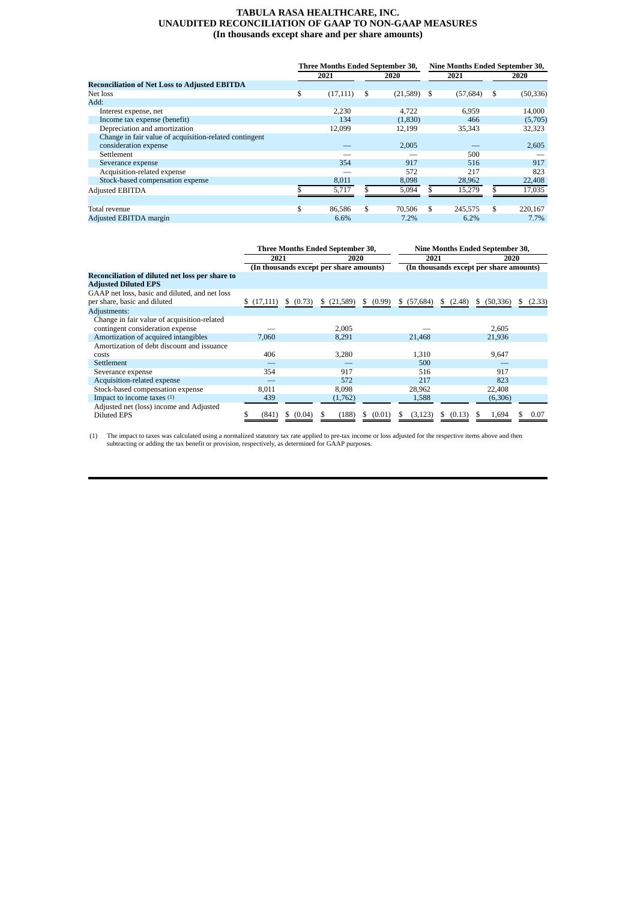### **TABULA RASA HEALTHCARE, INC. UNAUDITED RECONCILIATION OF GAAP TO NON-GAAP MEASURES (In thousands except share and per share amounts)**

|                                                        | <b>Three Months Ended September 30,</b> |                | <b>Nine Months Ended September 30,</b> |           |    |           |  |  |
|--------------------------------------------------------|-----------------------------------------|----------------|----------------------------------------|-----------|----|-----------|--|--|
|                                                        | 2021                                    | 2020           |                                        | 2021      |    | 2020      |  |  |
| <b>Reconciliation of Net Loss to Adjusted EBITDA</b>   |                                         |                |                                        |           |    |           |  |  |
| Net loss                                               | \$<br>(17, 111)                         | \$<br>(21,589) | - \$                                   | (57, 684) | S  | (50, 336) |  |  |
| Add:                                                   |                                         |                |                                        |           |    |           |  |  |
| Interest expense, net                                  | 2.230                                   | 4.722          |                                        | 6.959     |    | 14,000    |  |  |
| Income tax expense (benefit)                           | 134                                     | (1,830)        |                                        | 466       |    | (5,705)   |  |  |
| Depreciation and amortization                          | 12,099                                  | 12,199         |                                        | 35,343    |    | 32,323    |  |  |
| Change in fair value of acquisition-related contingent |                                         |                |                                        |           |    |           |  |  |
| consideration expense                                  |                                         | 2,005          |                                        |           |    | 2,605     |  |  |
| Settlement                                             |                                         |                |                                        | 500       |    |           |  |  |
| Severance expense                                      | 354                                     | 917            |                                        | 516       |    | 917       |  |  |
| Acquisition-related expense                            |                                         | 572            |                                        | 217       |    | 823       |  |  |
| Stock-based compensation expense                       | 8,011                                   | 8,098          |                                        | 28,962    |    | 22,408    |  |  |
| <b>Adjusted EBITDA</b>                                 | 5,717                                   | 5,094          |                                        | 15,279    |    | 17,035    |  |  |
|                                                        |                                         |                |                                        |           |    |           |  |  |
| Total revenue                                          | \$<br>86,586                            | \$<br>70,506   | \$.                                    | 245.575   | \$ | 220,167   |  |  |
| Adjusted EBITDA margin                                 | 6.6%                                    | 7.2%           |                                        | 6.2%      |    | 7.7%      |  |  |

|                                                                                 |                                                         |        | <b>Three Months Ended September 30,</b> |           |             |              | <b>Nine Months Ended September 30,</b>  |              |  |  |
|---------------------------------------------------------------------------------|---------------------------------------------------------|--------|-----------------------------------------|-----------|-------------|--------------|-----------------------------------------|--------------|--|--|
|                                                                                 | 2021<br>2020<br>(In thousands except per share amounts) |        |                                         |           | 2021        |              | 2020                                    |              |  |  |
| Reconciliation of diluted net loss per share to                                 |                                                         |        |                                         |           |             |              | (In thousands except per share amounts) |              |  |  |
| <b>Adjusted Diluted EPS</b>                                                     |                                                         |        |                                         |           |             |              |                                         |              |  |  |
| GAAP net loss, basic and diluted, and net loss                                  |                                                         |        |                                         |           |             |              |                                         |              |  |  |
| per share, basic and diluted                                                    | \$(17,111)                                              | (0.73) | (21,589)                                | \$ (0.99) | \$ (57,684) | S.<br>(2.48) | (50, 336)<br>S.                         | (2.33)<br>S. |  |  |
| Adjustments:                                                                    |                                                         |        |                                         |           |             |              |                                         |              |  |  |
| Change in fair value of acquisition-related<br>contingent consideration expense |                                                         |        | 2,005                                   |           |             |              | 2,605                                   |              |  |  |
| Amortization of acquired intangibles                                            | 7,060                                                   |        | 8,291                                   |           | 21,468      |              | 21,936                                  |              |  |  |
| Amortization of debt discount and issuance                                      |                                                         |        |                                         |           |             |              |                                         |              |  |  |
| costs                                                                           | 406                                                     |        | 3,280                                   |           | 1,310       |              | 9,647                                   |              |  |  |
| <b>Settlement</b>                                                               |                                                         |        |                                         |           | 500         |              |                                         |              |  |  |
| Severance expense                                                               | 354                                                     |        | 917                                     |           | 516         |              | 917                                     |              |  |  |
| Acquisition-related expense                                                     |                                                         |        | 572                                     |           | 217         |              | 823                                     |              |  |  |
| Stock-based compensation expense                                                | 8,011                                                   |        | 8,098                                   |           | 28,962      |              | 22,408                                  |              |  |  |
| Impact to income taxes (1)                                                      | 439                                                     |        | (1,762)                                 |           | 1,588       |              | (6,306)                                 |              |  |  |
| Adjusted net (loss) income and Adjusted<br><b>Diluted EPS</b>                   | (841)                                                   | (0.04) | (188)                                   | (0.01)    | (3, 123)    | (0.13)<br>S  | 1,694                                   | 0.07         |  |  |

(1) The impact to taxes was calculated using a normalized statutory tax rate applied to pre-tax income or loss adjusted for the respective items above and then subtracting or adding the tax benefit or provision, respective